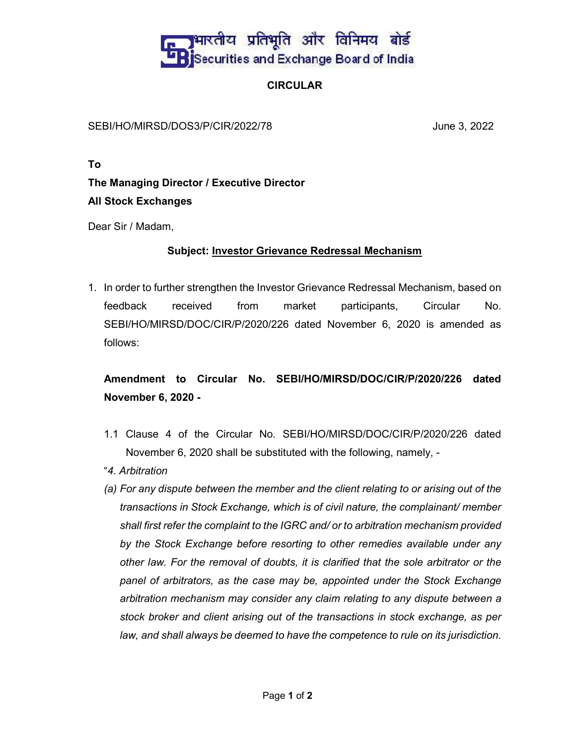## <mark>।भारतीय प्रतिभूति और विनिमय बोर्ड</mark> Securities and Exchange Board of India

#### CIRCULAR

SEBI/HO/MIRSD/DOS3/P/CIR/2022/78 June 3, 2022

To

### The Managing Director / Executive Director All Stock Exchanges

Dear Sir / Madam,

#### Subject: Investor Grievance Redressal Mechanism

1. In order to further strengthen the Investor Grievance Redressal Mechanism, based on feedback received from market participants, Circular No. SEBI/HO/MIRSD/DOC/CIR/P/2020/226 dated November 6, 2020 is amended as follows:

### Amendment to Circular No. SEBI/HO/MIRSD/DOC/CIR/P/2020/226 dated November 6, 2020 -

- 1.1 Clause 4 of the Circular No. SEBI/HO/MIRSD/DOC/CIR/P/2020/226 dated November 6, 2020 shall be substituted with the following, namely, -
- "4. Arbitration
- (a) For any dispute between the member and the client relating to or arising out of the transactions in Stock Exchange, which is of civil nature, the complainant/ member shall first refer the complaint to the IGRC and/ or to arbitration mechanism provided by the Stock Exchange before resorting to other remedies available under any other law. For the removal of doubts, it is clarified that the sole arbitrator or the panel of arbitrators, as the case may be, appointed under the Stock Exchange arbitration mechanism may consider any claim relating to any dispute between a stock broker and client arising out of the transactions in stock exchange, as per law, and shall always be deemed to have the competence to rule on its jurisdiction.